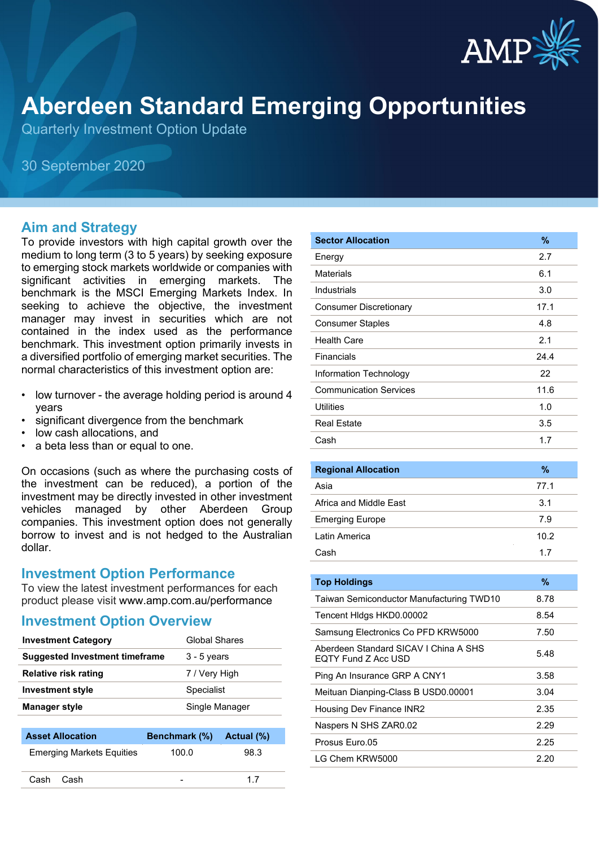

# **Aberdeen Standard Emerging Opportunities**

Quarterly Investment Option Update

30 September 2020

### **Aim and Strategy**

To provide investors with high capital growth over the medium to long term (3 to 5 years) by seeking exposure to emerging stock markets worldwide or companies with significant activities in emerging markets. The benchmark is the MSCI Emerging Markets Index. In seeking to achieve the objective, the investment manager may invest in securities which are not contained in the index used as the performance benchmark. This investment option primarily invests in a diversified portfolio of emerging market securities. The normal characteristics of this investment option are:

- low turnover the average holding period is around 4 years
- significant divergence from the benchmark
- low cash allocations, and
- a beta less than or equal to one.

On occasions (such as where the purchasing costs of the investment can be reduced), a portion of the investment may be directly invested in other investment vehicles managed by other Aberdeen Group companies. This investment option does not generally borrow to invest and is not hedged to the Australian dollar.

### **Investment Option Performance**

To view the latest investment performances for each product please visit www.amp.com.au/performance

### **Investment Option Overview**

| <b>Investment Category</b>            | <b>Global Shares</b> |
|---------------------------------------|----------------------|
| <b>Suggested Investment timeframe</b> | $3 - 5$ years        |
| <b>Relative risk rating</b>           | 7 / Very High        |
| <b>Investment style</b>               | Specialist           |
| Manager style                         | Single Manager       |

| <b>Asset Allocation</b>          | Benchmark (%) Actual (%) |      |
|----------------------------------|--------------------------|------|
| <b>Emerging Markets Equities</b> | 100.0                    | 98.3 |
| Cash Cash                        |                          | 17   |

| <b>Sector Allocation</b>      | $\%$ |
|-------------------------------|------|
| Energy                        | 2.7  |
| <b>Materials</b>              | 6.1  |
| <b>Industrials</b>            | 3.0  |
| <b>Consumer Discretionary</b> | 17.1 |
| <b>Consumer Staples</b>       | 4.8  |
| <b>Health Care</b>            | 2.1  |
| Financials                    | 24.4 |
| Information Technology        | 22   |
| <b>Communication Services</b> | 11.6 |
| <b>Utilities</b>              | 1.0  |
| <b>Real Estate</b>            | 3.5  |
| Cash                          | 1.7  |
|                               |      |
| <b>Regional Allocation</b>    | $\%$ |
| Asia                          | 77.1 |
| Africa and Middle Fast        | 3.1  |

| <b>Emerging Europe</b> | 7.9  |
|------------------------|------|
| Latin America          | 10.2 |
| Cash                   | 17   |
|                        |      |

| <b>Top Holdings</b>                                          | %    |
|--------------------------------------------------------------|------|
| Taiwan Semiconductor Manufacturing TWD10                     | 8.78 |
| Tencent Hidgs HKD0.00002                                     | 8.54 |
| Samsung Electronics Co PFD KRW5000                           | 7.50 |
| Aberdeen Standard SICAV I China A SHS<br>EQTY Fund Z Acc USD | 5.48 |
| Ping An Insurance GRP A CNY1                                 | 3.58 |
| Meituan Dianping-Class B USD0.00001                          | 3.04 |
| Housing Dev Finance INR2                                     | 2.35 |
| Naspers N SHS ZAR0.02                                        | 2.29 |
| Prosus Euro.05                                               | 2.25 |
| I G Chem KRW5000                                             | 2.20 |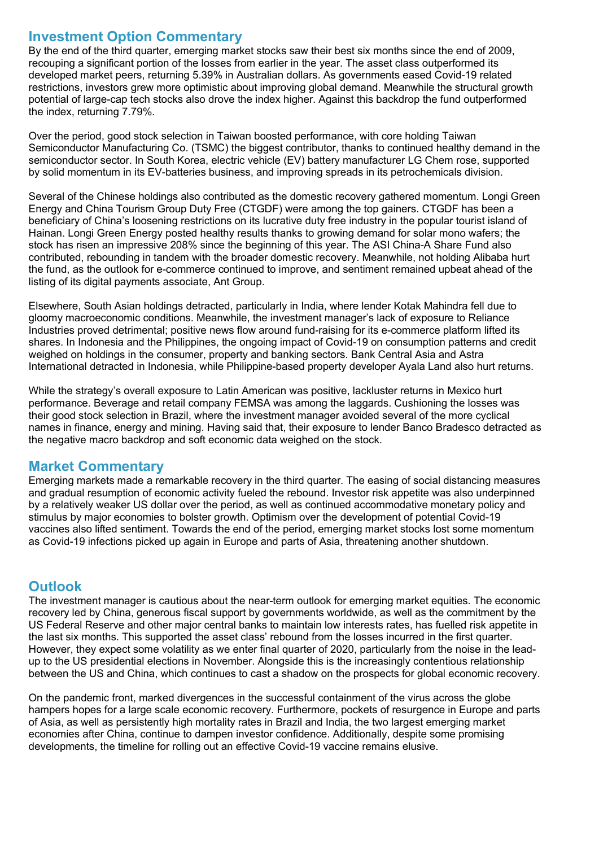## **Investment Option Commentary**

By the end of the third quarter, emerging market stocks saw their best six months since the end of 2009, recouping a significant portion of the losses from earlier in the year. The asset class outperformed its developed market peers, returning 5.39% in Australian dollars. As governments eased Covid-19 related restrictions, investors grew more optimistic about improving global demand. Meanwhile the structural growth potential of large-cap tech stocks also drove the index higher. Against this backdrop the fund outperformed the index, returning 7.79%.

Over the period, good stock selection in Taiwan boosted performance, with core holding Taiwan Semiconductor Manufacturing Co. (TSMC) the biggest contributor, thanks to continued healthy demand in the semiconductor sector. In South Korea, electric vehicle (EV) battery manufacturer LG Chem rose, supported by solid momentum in its EV-batteries business, and improving spreads in its petrochemicals division.

Several of the Chinese holdings also contributed as the domestic recovery gathered momentum. Longi Green Energy and China Tourism Group Duty Free (CTGDF) were among the top gainers. CTGDF has been a beneficiary of China's loosening restrictions on its lucrative duty free industry in the popular tourist island of Hainan. Longi Green Energy posted healthy results thanks to growing demand for solar mono wafers; the stock has risen an impressive 208% since the beginning of this year. The ASI China-A Share Fund also contributed, rebounding in tandem with the broader domestic recovery. Meanwhile, not holding Alibaba hurt the fund, as the outlook for e-commerce continued to improve, and sentiment remained upbeat ahead of the listing of its digital payments associate, Ant Group.

Elsewhere, South Asian holdings detracted, particularly in India, where lender Kotak Mahindra fell due to gloomy macroeconomic conditions. Meanwhile, the investment manager's lack of exposure to Reliance Industries proved detrimental; positive news flow around fund-raising for its e-commerce platform lifted its shares. In Indonesia and the Philippines, the ongoing impact of Covid-19 on consumption patterns and credit weighed on holdings in the consumer, property and banking sectors. Bank Central Asia and Astra International detracted in Indonesia, while Philippine-based property developer Ayala Land also hurt returns.

While the strategy's overall exposure to Latin American was positive, lackluster returns in Mexico hurt performance. Beverage and retail company FEMSA was among the laggards. Cushioning the losses was their good stock selection in Brazil, where the investment manager avoided several of the more cyclical names in finance, energy and mining. Having said that, their exposure to lender Banco Bradesco detracted as the negative macro backdrop and soft economic data weighed on the stock.

# **Market Commentary**

Emerging markets made a remarkable recovery in the third quarter. The easing of social distancing measures and gradual resumption of economic activity fueled the rebound. Investor risk appetite was also underpinned by a relatively weaker US dollar over the period, as well as continued accommodative monetary policy and stimulus by major economies to bolster growth. Optimism over the development of potential Covid-19 vaccines also lifted sentiment. Towards the end of the period, emerging market stocks lost some momentum as Covid-19 infections picked up again in Europe and parts of Asia, threatening another shutdown.

# **Outlook**

The investment manager is cautious about the near-term outlook for emerging market equities. The economic recovery led by China, generous fiscal support by governments worldwide, as well as the commitment by the US Federal Reserve and other major central banks to maintain low interests rates, has fuelled risk appetite in the last six months. This supported the asset class' rebound from the losses incurred in the first quarter. However, they expect some volatility as we enter final quarter of 2020, particularly from the noise in the leadup to the US presidential elections in November. Alongside this is the increasingly contentious relationship between the US and China, which continues to cast a shadow on the prospects for global economic recovery.

On the pandemic front, marked divergences in the successful containment of the virus across the globe hampers hopes for a large scale economic recovery. Furthermore, pockets of resurgence in Europe and parts of Asia, as well as persistently high mortality rates in Brazil and India, the two largest emerging market economies after China, continue to dampen investor confidence. Additionally, despite some promising developments, the timeline for rolling out an effective Covid-19 vaccine remains elusive.